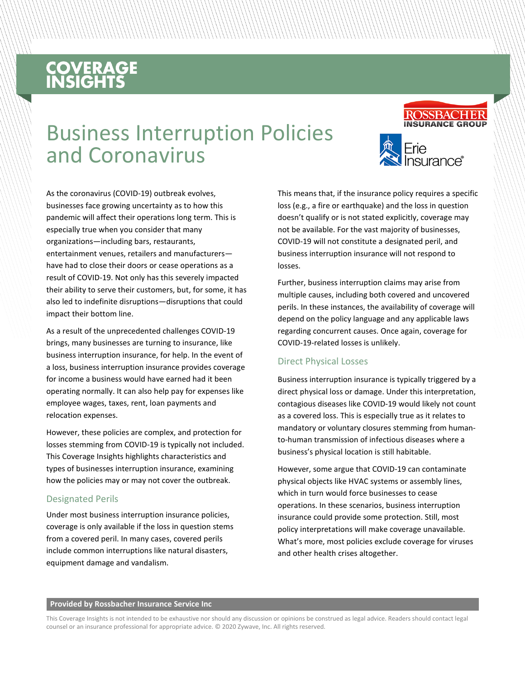# **COVERAGE**<br>INSIGHTS

## Business Interruption Policies and Coronavirus



As the coronavirus (COVID-19) outbreak evolves, businesses face growing uncertainty as to how this pandemic will affect their operations long term. This is especially true when you consider that many organizations—including bars, restaurants, entertainment venues, retailers and manufacturers have had to close their doors or cease operations as a result of COVID-19. Not only has this severely impacted their ability to serve their customers, but, for some, it has also led to indefinite disruptions—disruptions that could impact their bottom line.

As a result of the unprecedented challenges COVID-19 brings, many businesses are turning to insurance, like business interruption insurance, for help. In the event of a loss, business interruption insurance provides coverage for income a business would have earned had it been operating normally. It can also help pay for expenses like employee wages, taxes, rent, loan payments and relocation expenses.

However, these policies are complex, and protection for losses stemming from COVID-19 is typically not included. This Coverage Insights highlights characteristics and types of businesses interruption insurance, examining how the policies may or may not cover the outbreak.

#### Designated Perils

Under most business interruption insurance policies, coverage is only available if the loss in question stems from a covered peril. In many cases, covered perils include common interruptions like natural disasters, equipment damage and vandalism.

This means that, if the insurance policy requires a specific loss (e.g., a fire or earthquake) and the loss in question doesn't qualify or is not stated explicitly, coverage may not be available. For the vast majority of businesses, COVID-19 will not constitute a designated peril, and business interruption insurance will not respond to losses.

Further, business interruption claims may arise from multiple causes, including both covered and uncovered perils. In these instances, the availability of coverage will depend on the policy language and any applicable laws regarding concurrent causes. Once again, coverage for COVID-19-related losses is unlikely.

#### Direct Physical Losses

Business interruption insurance is typically triggered by a direct physical loss or damage. Under this interpretation, contagious diseases like COVID-19 would likely not count as a covered loss. This is especially true as it relates to mandatory or voluntary closures stemming from humanto-human transmission of infectious diseases where a business's physical location is still habitable.

However, some argue that COVID-19 can contaminate physical objects like HVAC systems or assembly lines, which in turn would force businesses to cease operations. In these scenarios, business interruption insurance could provide some protection. Still, most policy interpretations will make coverage unavailable. What's more, most policies exclude coverage for viruses and other health crises altogether.

#### **Provided by Rossbacher Insurance Service Inc**

This Coverage Insights is not intended to be exhaustive nor should any discussion or opinions be construed as legal advice. Readers should contact legal counsel or an insurance professional for appropriate advice. © 2020 Zywave, Inc. All rights reserved.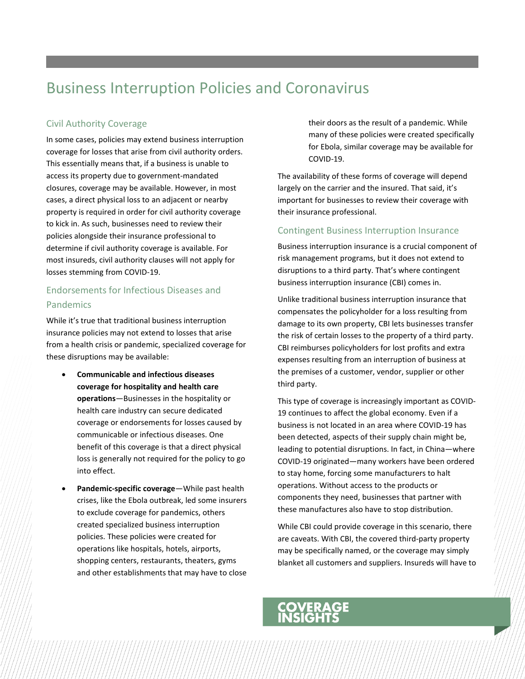### Business Interruption Policies and Coronavirus

#### Civil Authority Coverage

In some cases, policies may extend business interruption coverage for losses that arise from civil authority orders. This essentially means that, if a business is unable to access its property due to government-mandated closures, coverage may be available. However, in most cases, a direct physical loss to an adjacent or nearby property is required in order for civil authority coverage to kick in. As such, businesses need to review their policies alongside their insurance professional to determine if civil authority coverage is available. For most insureds, civil authority clauses will not apply for losses stemming from COVID-19.

### Endorsements for Infectious Diseases and Pandemics

While it's true that traditional business interruption insurance policies may not extend to losses that arise from a health crisis or pandemic, specialized coverage for these disruptions may be available:

- **Communicable and infectious diseases coverage for hospitality and health care operations**—Businesses in the hospitality or health care industry can secure dedicated coverage or endorsements for losses caused by communicable or infectious diseases. One benefit of this coverage is that a direct physical loss is generally not required for the policy to go into effect.
- **Pandemic-specific coverage**—While past health crises, like the Ebola outbreak, led some insurers to exclude coverage for pandemics, others created specialized business interruption policies. These policies were created for operations like hospitals, hotels, airports, shopping centers, restaurants, theaters, gyms and other establishments that may have to close

their doors as the result of a pandemic. While many of these policies were created specifically for Ebola, similar coverage may be available for COVID-19.

The availability of these forms of coverage will depend largely on the carrier and the insured. That said, it's important for businesses to review their coverage with their insurance professional.

#### Contingent Business Interruption Insurance

Business interruption insurance is a crucial component of risk management programs, but it does not extend to disruptions to a third party. That's where contingent business interruption insurance (CBI) comes in.

Unlike traditional business interruption insurance that compensates the policyholder for a loss resulting from damage to its own property, CBI lets businesses transfer the risk of certain losses to the property of a third party. CBI reimburses policyholders for lost profits and extra expenses resulting from an interruption of business at the premises of a customer, vendor, supplier or other third party.

This type of coverage is increasingly important as COVID-19 continues to affect the global economy. Even if a business is not located in an area where COVID-19 has been detected, aspects of their supply chain might be, leading to potential disruptions. In fact, in China—where COVID-19 originated—many workers have been ordered to stay home, forcing some manufacturers to halt operations. Without access to the products or components they need, businesses that partner with these manufactures also have to stop distribution.

While CBI could provide coverage in this scenario, there are caveats. With CBI, the covered third-party property may be specifically named, or the coverage may simply blanket all customers and suppliers. Insureds will have to